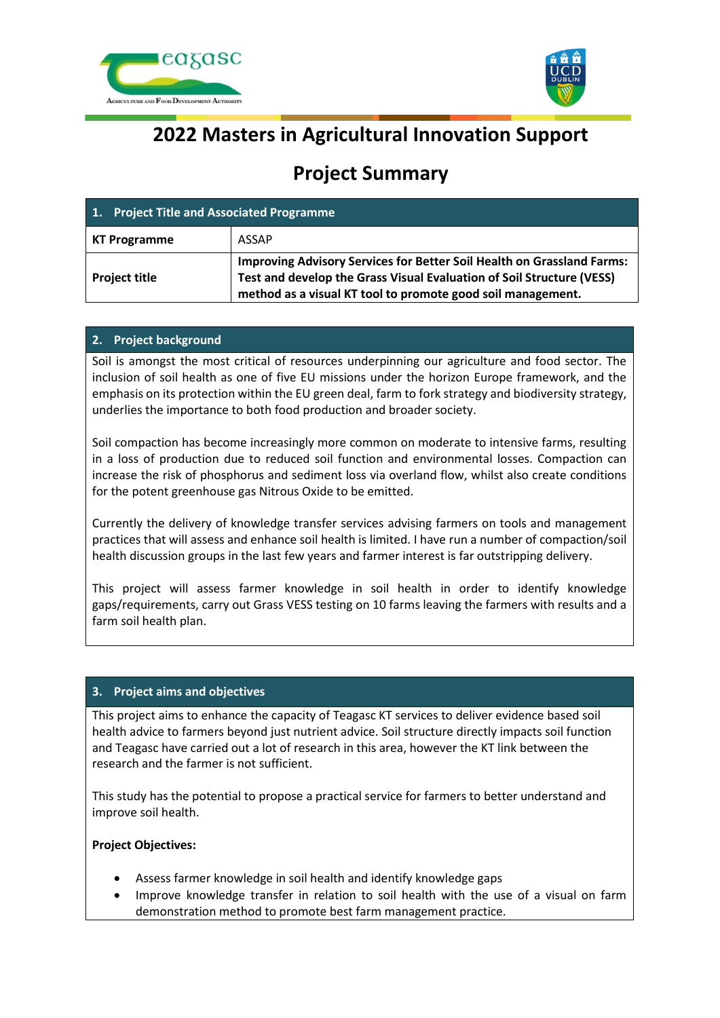



# **2022 Masters in Agricultural Innovation Support**

## **Project Summary**

| 1. Project Title and Associated Programme |                                                                                                                                                                                                                       |
|-------------------------------------------|-----------------------------------------------------------------------------------------------------------------------------------------------------------------------------------------------------------------------|
| <b>KT Programme</b>                       | <b>ASSAP</b>                                                                                                                                                                                                          |
| <b>Project title</b>                      | <b>Improving Advisory Services for Better Soil Health on Grassland Farms:</b><br>Test and develop the Grass Visual Evaluation of Soil Structure (VESS)<br>method as a visual KT tool to promote good soil management. |

### **2. Project background**

Soil is amongst the most critical of resources underpinning our agriculture and food sector. The inclusion of soil health as one of five EU missions under the horizon Europe framework, and the emphasis on its protection within the EU green deal, farm to fork strategy and biodiversity strategy, underlies the importance to both food production and broader society.

Soil compaction has become increasingly more common on moderate to intensive farms, resulting in a loss of production due to reduced soil function and environmental losses. Compaction can increase the risk of phosphorus and sediment loss via overland flow, whilst also create conditions for the potent greenhouse gas Nitrous Oxide to be emitted.

Currently the delivery of knowledge transfer services advising farmers on tools and management practices that will assess and enhance soil health is limited. I have run a number of compaction/soil health discussion groups in the last few years and farmer interest is far outstripping delivery.

This project will assess farmer knowledge in soil health in order to identify knowledge gaps/requirements, carry out Grass VESS testing on 10 farms leaving the farmers with results and a farm soil health plan.

### **3. Project aims and objectives**

This project aims to enhance the capacity of Teagasc KT services to deliver evidence based soil health advice to farmers beyond just nutrient advice. Soil structure directly impacts soil function and Teagasc have carried out a lot of research in this area, however the KT link between the research and the farmer is not sufficient.

This study has the potential to propose a practical service for farmers to better understand and improve soil health.

#### **Project Objectives:**

- Assess farmer knowledge in soil health and identify knowledge gaps
- Improve knowledge transfer in relation to soil health with the use of a visual on farm demonstration method to promote best farm management practice.